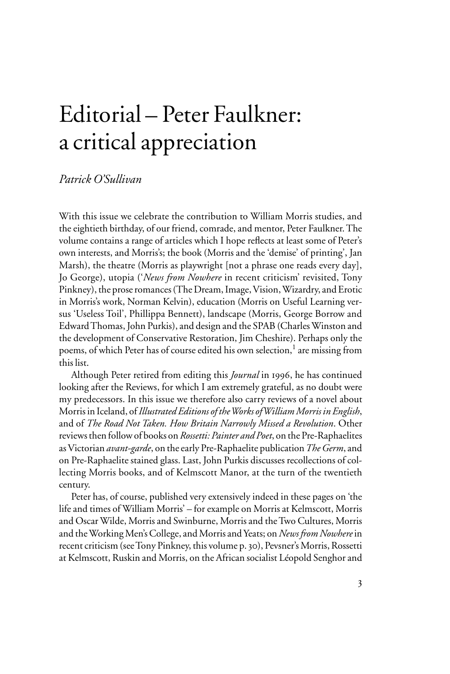# Editorial – Peter Faulkner: a critical appreciation

## *Patrick O'Sullivan*

With this issue we celebrate the contribution to William Morris studies, and the eightieth birthday, of our friend, comrade, and mentor, Peter Faulkner. The volume contains a range of articles which I hope reflects at least some of Peter's own interests, and Morris's; the book (Morris and the 'demise' of printing', Jan Marsh), the theatre (Morris as playwright [not a phrase one reads every day], Jo George), utopia ('*News from Nowhere* in recent criticism' revisited, Tony Pinkney), the prose romances (The Dream, Image, Vision, Wizardry, and Erotic in Morris's work, Norman Kelvin), education (Morris on Useful Learning versus 'Useless Toil', Phillippa Bennett), landscape (Morris, George Borrow and Edward Thomas, John Purkis), and design and the SPAB (Charles Winston and the development of Conservative Restoration, Jim Cheshire). Perhaps only the poems, of which Peter has of course edited his own selection, $^1$  are missing from this list.

Although Peter retired from editing this *Journal* in 1996, he has continued looking after the Reviews, for which I am extremely grateful, as no doubt were my predecessors. In this issue we therefore also carry reviews of a novel about Morris in Iceland, of *Illustrated Editions of the Works of William Morris in English*, and of *The Road Not Taken. How Britain Narrowly Missed a Revolution*. Other reviews then follow of books on *Rossetti: Painter and Poet*, on the Pre-Raphaelites as Victorian *avant-garde*, on the early Pre-Raphaelite publication *The Germ*, and on Pre-Raphaelite stained glass. Last, John Purkis discusses recollections of collecting Morris books, and of Kelmscott Manor, at the turn of the twentieth century.

Peter has, of course, published very extensively indeed in these pages on 'the life and times of William Morris' – for example on Morris at Kelmscott, Morris and Oscar Wilde, Morris and Swinburne, Morris and the Two Cultures, Morris and the Working Men's College, and Morris and Yeats; on *News from Nowhere* in recent criticism (see Tony Pinkney, this volume p. 30), Pevsner's Morris, Rossetti at Kelmscott, Ruskin and Morris, on the African socialist Léopold Senghor and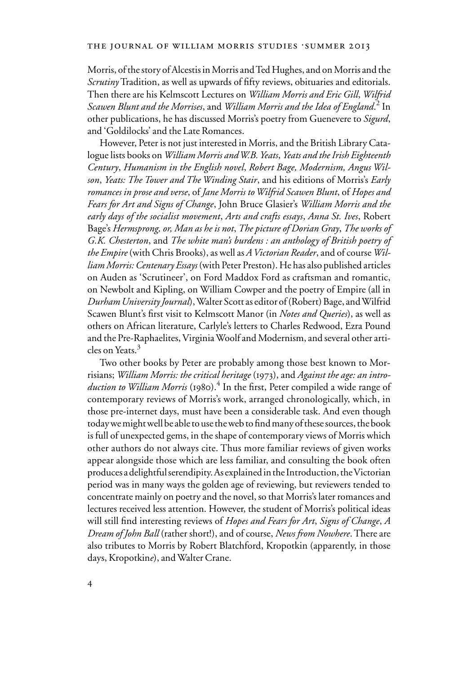Morris, of the story of Alcestis in Morris and Ted Hughes, and on Morris and the *Scrutiny* Tradition, as well as upwards of fifty reviews, obituaries and editorials. Then there are his Kelmscott Lectures on *William Morris and Eric Gill*, *Wilfrid Scawen Blunt and the Morrises*, and *William Morris and the Idea of England*. 2 In other publications, he has discussed Morris's poetry from Guenevere to *Sigurd*, and 'Goldilocks' and the Late Romances.

However, Peter is not just interested in Morris, and the British Library Catalogue lists books on *William Morris and W.B. Yeats*, *Yeats and the Irish Eighteenth Century*, *Humanism in the English novel*, *Robert Bage, Modernism, Angus Wilson*, *Yeats: The Tower and The Winding Stair*, and his editions of Morris's *Early romances in prose and verse*, of *Jane Morris to Wilfrid Scawen Blunt*, of *Hopes and Fears for Art and Signs of Change*, John Bruce Glasier's *William Morris and the early days of the socialist movement*, *Arts and crafts essays*, *Anna St. Ives*, Robert Bage's *Hermsprong, or, Man as he is not*, *The picture of Dorian Gray*, *The works of G.K. Chesterton*, and *The white man's burdens : an anthology of British poetry of the Empire* (with Chris Brooks), as well as *A Victorian Reader*, and of course *William Morris: Centenary Essays* (with Peter Preston). He has also published articles on Auden as 'Scrutineer', on Ford Maddox Ford as craftsman and romantic, on Newbolt and Kipling, on William Cowper and the poetry of Empire (all in *Durham University Journal*), Walter Scott as editor of (Robert) Bage, and Wilfrid Scawen Blunt's first visit to Kelmscott Manor (in *Notes and Queries*), as well as others on African literature, Carlyle's letters to Charles Redwood, Ezra Pound and the Pre-Raphaelites, Virginia Woolf and Modernism, and several other articles on Yeats.<sup>3</sup>

Two other books by Peter are probably among those best known to Morrisians; *William Morris: the critical heritage* (1973), and *Against the age: an introduction to William Morris* (1980).<sup>4</sup> In the first, Peter compiled a wide range of contemporary reviews of Morris's work, arranged chronologically, which, in those pre-internet days, must have been a considerable task. And even though today we might well be able to use the web to find many of these sources, the book is full of unexpected gems, in the shape of contemporary views of Morris which other authors do not always cite. Thus more familiar reviews of given works appear alongside those which are less familiar, and consulting the book often produces a delightful serendipity. As explained in the Introduction, the Victorian period was in many ways the golden age of reviewing, but reviewers tended to concentrate mainly on poetry and the novel, so that Morris's later romances and lectures received less attention. However, the student of Morris's political ideas will still find interesting reviews of *Hopes and Fears for Art*, *Signs of Change*, *A Dream of John Ball* (rather short!), and of course, *News from Nowhere*. There are also tributes to Morris by Robert Blatchford, Kropotkin (apparently, in those days, Kropotkin*e*), and Walter Crane.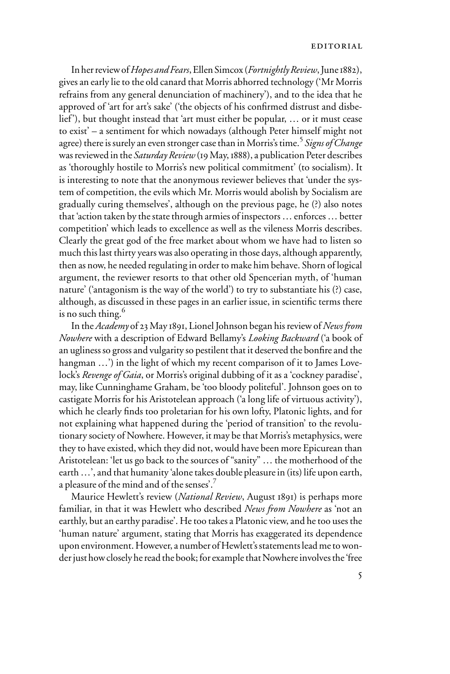#### editorial

In her review of *Hopes and Fears*, Ellen Simcox (*Fortnightly Review*, June 1882), gives an early lie to the old canard that Morris abhorred technology ('Mr Morris refrains from any general denunciation of machinery'), and to the idea that he approved of 'art for art's sake' ('the objects of his confirmed distrust and disbelief'), but thought instead that 'art must either be popular, … or it must cease to exist' – a sentiment for which nowadays (although Peter himself might not agree) there is surely an even stronger case than in Morris's time.<sup>5</sup> *Signs of Change* was reviewed in the *Saturday Review* (19 May, 1888), a publication Peter describes as 'thoroughly hostile to Morris's new political commitment' (to socialism). It is interesting to note that the anonymous reviewer believes that 'under the system of competition, the evils which Mr. Morris would abolish by Socialism are gradually curing themselves', although on the previous page, he (?) also notes that 'action taken by the state through armies of inspectors … enforces … better competition' which leads to excellence as well as the vileness Morris describes. Clearly the great god of the free market about whom we have had to listen so much this last thirty years was also operating in those days, although apparently, then as now, he needed regulating in order to make him behave. Shorn of logical argument, the reviewer resorts to that other old Spencerian myth, of 'human nature' ('antagonism is the way of the world') to try to substantiate his (?) case, although, as discussed in these pages in an earlier issue, in scientific terms there is no such thing. $6$ 

In the *Academy* of 23 May 1891, Lionel Johnson began his review of *News from Nowhere* with a description of Edward Bellamy's *Looking Backward* ('a book of an ugliness so gross and vulgarity so pestilent that it deserved the bonfire and the hangman ...') in the light of which my recent comparison of it to James Lovelock's *Revenge of Gaia*, or Morris's original dubbing of it as a 'cockney paradise', may, like Cunninghame Graham, be 'too bloody politeful'. Johnson goes on to castigate Morris for his Aristotelean approach ('a long life of virtuous activity'), which he clearly finds too proletarian for his own lofty, Platonic lights, and for not explaining what happened during the 'period of transition' to the revolutionary society of Nowhere. However, it may be that Morris's metaphysics, were they to have existed, which they did not, would have been more Epicurean than Aristotelean: 'let us go back to the sources of "sanity" … the motherhood of the earth ...', and that humanity 'alone takes double pleasure in (its) life upon earth, a pleasure of the mind and of the senses'.7

Maurice Hewlett's review (*National Review*, August 1891) is perhaps more familiar, in that it was Hewlett who described *News from Nowhere* as 'not an earthly, but an earthy paradise'. He too takes a Platonic view, and he too uses the 'human nature' argument, stating that Morris has exaggerated its dependence upon environment. However, a number of Hewlett's statements lead me to wonder just how closely he read the book; for example that Nowhere involves the 'free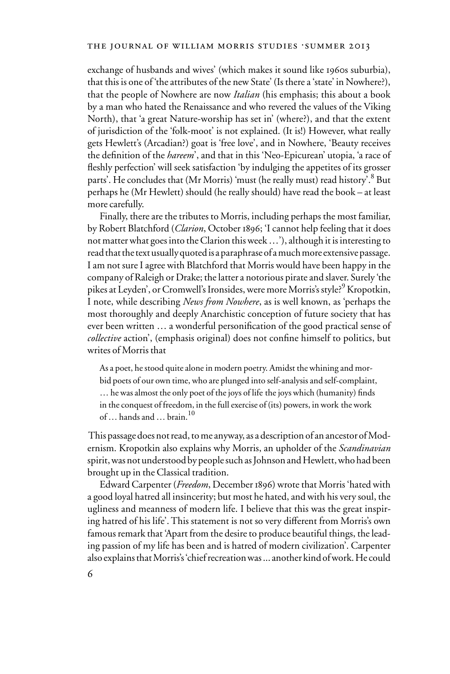exchange of husbands and wives' (which makes it sound like 1960s suburbia), that this is one of 'the attributes of the new State' (Is there a 'state' in Nowhere?), that the people of Nowhere are now *Italian* (his emphasis; this about a book by a man who hated the Renaissance and who revered the values of the Viking North), that 'a great Nature-worship has set in' (where?), and that the extent of jurisdiction of the 'folk-moot' is not explained. (It is!) However, what really gets Hewlett's (Arcadian?) goat is 'free love', and in Nowhere, 'Beauty receives the definition of the *hareem*', and that in this 'Neo-Epicurean' utopia, 'a race of fleshly perfection' will seek satisfaction 'by indulging the appetites of its grosser parts'. He concludes that (Mr Morris) 'must (he really must) read history'.<sup>8</sup> But perhaps he (Mr Hewlett) should (he really should) have read the book – at least more carefully.

Finally, there are the tributes to Morris, including perhaps the most familiar, by Robert Blatchford (*Clarion*, October 1896; 'I cannot help feeling that it does not matter what goes into the Clarion this week …'), although it is interesting to read that the text usually quoted is a paraphrase of a much more extensive passage. I am not sure I agree with Blatchford that Morris would have been happy in the company of Raleigh or Drake; the latter a notorious pirate and slaver. Surely 'the pikes at Leyden', or Cromwell's Ironsides, were more Morris's style?<sup>9</sup> Kropotkin, I note, while describing *News from Nowhere*, as is well known, as 'perhaps the most thoroughly and deeply Anarchistic conception of future society that has ever been written ... a wonderful personification of the good practical sense of *collective* action', (emphasis original) does not confine himself to politics, but writes of Morris that

As a poet, he stood quite alone in modern poetry. Amidst the whining and morbid poets of our own time, who are plunged into self-analysis and self-complaint, ... he was almost the only poet of the joys of life the joys which (humanity) finds in the conquest of freedom, in the full exercise of (its) powers, in work the work of … hands and … brain.10

 This passage does not read, to me anyway, as a description of an ancestor of Modernism. Kropotkin also explains why Morris, an upholder of the *Scandinavian* spirit, was not understood by people such as Johnson and Hewlett, who had been brought up in the Classical tradition.

Edward Carpenter (*Freedom*, December 1896) wrote that Morris 'hated with a good loyal hatred all insincerity; but most he hated, and with his very soul, the ugliness and meanness of modern life. I believe that this was the great inspiring hatred of his life'. This statement is not so very different from Morris's own famous remark that 'Apart from the desire to produce beautiful things, the leading passion of my life has been and is hatred of modern civilization'. Carpenter also explains that Morris's 'chief recreation was ... another kind of work. He could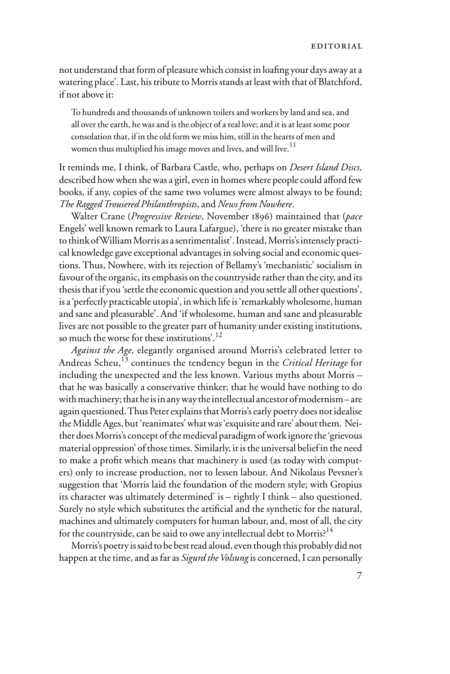not understand that form of pleasure which consist in loafing your days away at a watering place'. Last, his tribute to Morris stands at least with that of Blatchford, if not above it:

To hundreds and thousands of unknown toilers and workers by land and sea, and all over the earth, he was and is the object of a real love; and it is at least some poor consolation that, if in the old form we miss him, still in the hearts of men and women thus multiplied his image moves and lives, and will live.<sup>11</sup>

It reminds me, I think, of Barbara Castle, who, perhaps on *Desert Island Discs,*  described how when she was a girl, even in homes where people could afford few books, if any, copies of the same two volumes were almost always to be found; *The Ragged Trousered Philanthropists*, and *News from Nowhere*.

Walter Crane (*Progressive Review*, November 1896) maintained that (*pace* Engels' well known remark to Laura Lafargue), 'there is no greater mistake than to think of William Morris as a sentimentalist'. Instead, Morris's intensely practical knowledge gave exceptional advantages in solving social and economic questions. Thus, Nowhere, with its rejection of Bellamy's 'mechanistic' socialism in favour of the organic, its emphasis on the countryside rather than the city, and its thesis that if you 'settle the economic question and you settle all other questions', is a 'perfectly practicable utopia', in which life is 'remarkably wholesome, human and sane and pleasurable'. And 'if wholesome, human and sane and pleasurable lives are not possible to the greater part of humanity under existing institutions, so much the worse for these institutions'.12

*Against the Age,* elegantly organised around Morris's celebrated letter to Andreas Scheu,13 continues the tendency begun in the *Critical Heritage* for including the unexpected and the less known. Various myths about Morris – that he was basically a conservative thinker; that he would have nothing to do with machinery; that he is in any way the intellectual ancestor of modernism – are again questioned. Thus Peter explains that Morris's early poetry does not idealise the Middle Ages, but 'reanimates' what was 'exquisite and rare' about them. Neither does Morris's concept of the medieval paradigm of work ignore the 'grievous material oppression' of those times. Similarly, it is the universal belief in the need to make a profit which means that machinery is used (as today with computers) only to increase production, not to lessen labour. And Nikolaus Pevsner's suggestion that 'Morris laid the foundation of the modern style; with Gropius its character was ultimately determined' is – rightly I think – also questioned. Surely no style which substitutes the artificial and the synthetic for the natural, machines and ultimately computers for human labour, and, most of all, the city for the countryside, can be said to owe any intellectual debt to Morris?<sup>14</sup>

Morris's poetry is said to be best read aloud, even though this probably did not happen at the time, and as far as *Sigurd the Volsung* is concerned, I can personally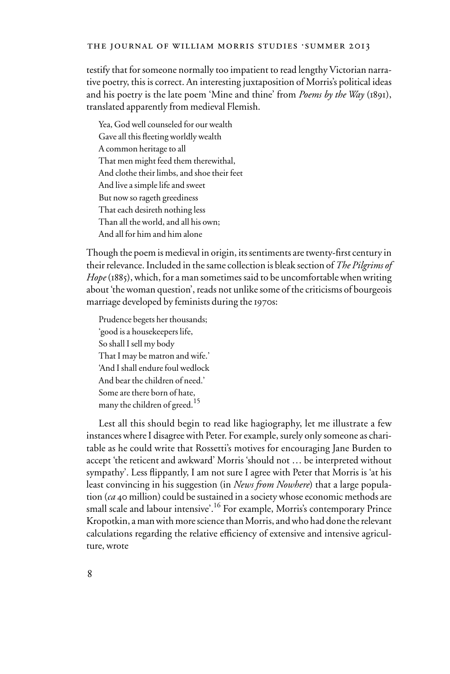#### THE JOURNAL OF WILLIAM MORRIS STUDIES .SUMMER 2013

testify that for someone normally too impatient to read lengthy Victorian narrative poetry, this is correct. An interesting juxtaposition of Morris's political ideas and his poetry is the late poem 'Mine and thine' from *Poems by the Way* (1891), translated apparently from medieval Flemish.

Yea, God well counseled for our wealth Gave all this fleeting worldly wealth A common heritage to all That men might feed them therewithal, And clothe their limbs, and shoe their feet And live a simple life and sweet But now so rageth greediness That each desireth nothing less Than all the world, and all his own; And all for him and him alone

Though the poem is medieval in origin, its sentiments are twenty-first century in their relevance. Included in the same collection is bleak section of *The Pilgrims of Hope* (1885), which, for a man sometimes said to be uncomfortable when writing about 'the woman question', reads not unlike some of the criticisms of bourgeois marriage developed by feminists during the 1970s:

Prudence begets her thousands; 'good is a housekeepers life, So shall I sell my body That I may be matron and wife.' 'And I shall endure foul wedlock And bear the children of need.' Some are there born of hate, many the children of greed.<sup>15</sup>

Lest all this should begin to read like hagiography, let me illustrate a few instances where I disagree with Peter. For example, surely only someone as charitable as he could write that Rossetti's motives for encouraging Jane Burden to accept 'the reticent and awkward' Morris 'should not … be interpreted without sympathy'. Less flippantly, I am not sure I agree with Peter that Morris is 'at his least convincing in his suggestion (in *News from Nowhere*) that a large population (*ca* 40 million) could be sustained in a society whose economic methods are small scale and labour intensive<sup>'</sup>.<sup>16</sup> For example, Morris's contemporary Prince Kropotkin, a man with more science than Morris, and who had done the relevant calculations regarding the relative efficiency of extensive and intensive agriculture, wrote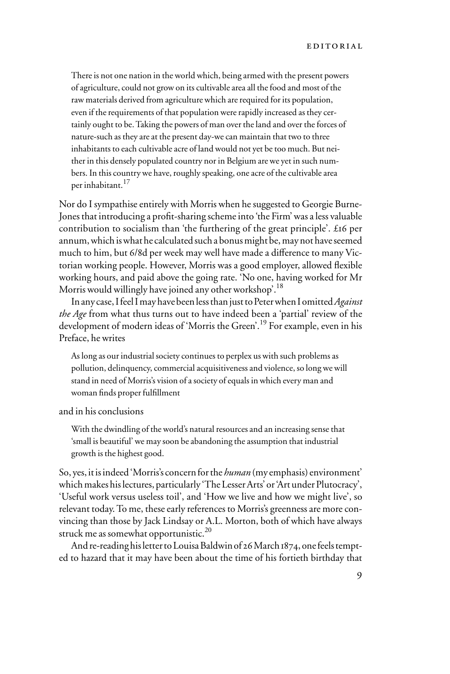There is not one nation in the world which, being armed with the present powers of agriculture, could not grow on its cultivable area all the food and most of the raw materials derived from agriculture which are required for its population, even if the requirements of that population were rapidly increased as they certainly ought to be. Taking the powers of man over the land and over the forces of nature-such as they are at the present day-we can maintain that two to three inhabitants to each cultivable acre of land would not yet be too much. But neither in this densely populated country nor in Belgium are we yet in such numbers. In this country we have, roughly speaking, one acre of the cultivable area per inhabitant.17

Nor do I sympathise entirely with Morris when he suggested to Georgie Burne-Jones that introducing a profit-sharing scheme into 'the Firm' was a less valuable contribution to socialism than 'the furthering of the great principle'. £16 per annum, which is what he calculated such a bonus might be, may not have seemed much to him, but 6/8d per week may well have made a difference to many Victorian working people. However, Morris was a good employer, allowed flexible working hours, and paid above the going rate. 'No one, having worked for Mr Morris would willingly have joined any other workshop'.<sup>18</sup>

In any case, I feel I may have been less than just to Peter when I omitted *Against the Age* from what thus turns out to have indeed been a 'partial' review of the development of modern ideas of 'Morris the Green'.<sup>19</sup> For example, even in his Preface, he writes

As long as our industrial society continues to perplex us with such problems as pollution, delinquency, commercial acquisitiveness and violence, so long we will stand in need of Morris's vision of a society of equals in which every man and woman finds proper fulfillment

and in his conclusions

With the dwindling of the world's natural resources and an increasing sense that 'small is beautiful' we may soon be abandoning the assumption that industrial growth is the highest good.

So, yes, it is indeed 'Morris's concern for the *human* (my emphasis) environment' which makes his lectures, particularly 'The Lesser Arts' or 'Art under Plutocracy', 'Useful work versus useless toil', and 'How we live and how we might live', so relevant today. To me, these early references to Morris's greenness are more convincing than those by Jack Lindsay or A.L. Morton, both of which have always struck me as somewhat opportunistic.<sup>20</sup>

And re-reading his letter to Louisa Baldwin of 26 March 1874, one feels tempted to hazard that it may have been about the time of his fortieth birthday that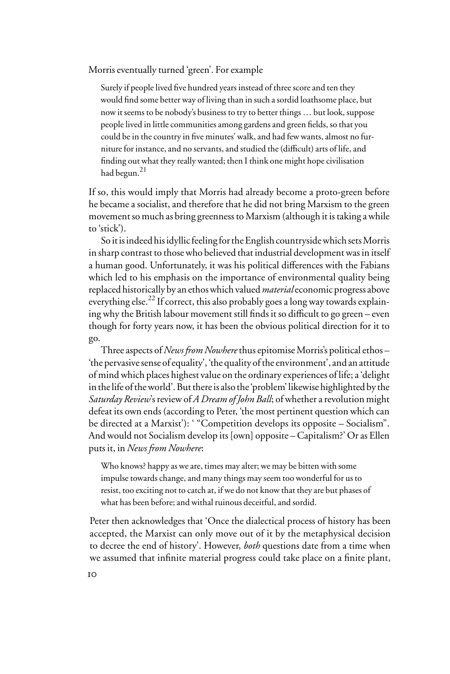Morris eventually turned 'green'. For example

Surely if people lived five hundred years instead of three score and ten they would find some better way of living than in such a sordid loathsome place, but now it seems to be nobody's business to try to better things … but look, suppose people lived in little communities among gardens and green fields, so that you could be in the country in five minutes' walk, and had few wants, almost no furniture for instance, and no servants, and studied the (difficult) arts of life, and finding out what they really wanted; then I think one might hope civilisation had begun.<sup>21</sup>

If so, this would imply that Morris had already become a proto-green before he became a socialist, and therefore that he did not bring Marxism to the green movement so much as bring greenness to Marxism (although it is taking a while to 'stick').

So it is indeed his idyllic feeling for the English countryside which sets Morris in sharp contrast to those who believed that industrial development was in itself a human good. Unfortunately, it was his political differences with the Fabians which led to his emphasis on the importance of environmental quality being replaced historically by an ethos which valued *material* economic progress above everything else.<sup>22</sup> If correct, this also probably goes a long way towards explaining why the British labour movement still finds it so difficult to go green – even though for forty years now, it has been the obvious political direction for it to go.

Three aspects of *News from Nowhere* thus epitomise Morris's political ethos – 'the pervasive sense of equality', 'the quality of the environment', and an attitude of mind which places highest value on the ordinary experiences of life; a 'delight in the life of the world'. But there is also the 'problem' likewise highlighted by the *Saturday Review*'s review of *A Dream of John Ball*; of whether a revolution might defeat its own ends (according to Peter, 'the most pertinent question which can be directed at a Marxist'): ' "Competition develops its opposite – Socialism". And would not Socialism develop its [own] opposite – Capitalism?' Or as Ellen puts it, in *News from Nowhere*:

Who knows? happy as we are, times may alter; we may be bitten with some impulse towards change, and many things may seem too wonderful for us to resist, too exciting not to catch at, if we do not know that they are but phases of what has been before; and withal ruinous deceitful, and sordid.

Peter then acknowledges that 'Once the dialectical process of history has been accepted, the Marxist can only move out of it by the metaphysical decision to decree the end of history'. However, *both* questions date from a time when we assumed that infinite material progress could take place on a finite plant,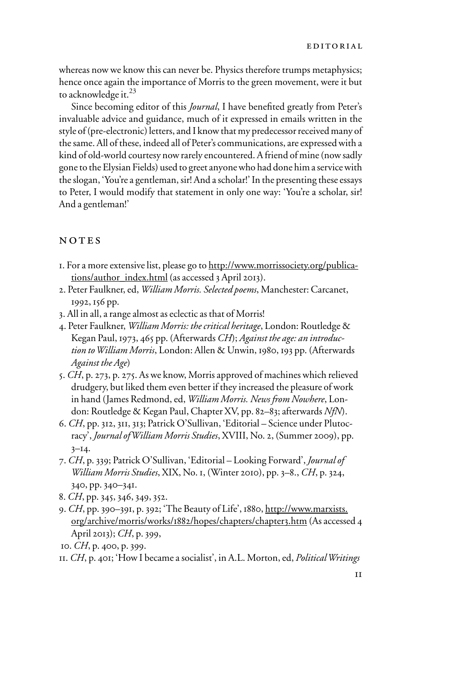whereas now we know this can never be. Physics therefore trumps metaphysics; hence once again the importance of Morris to the green movement, were it but to acknowledge it.<sup>23</sup>

Since becoming editor of this *Journal*, I have benefited greatly from Peter's invaluable advice and guidance, much of it expressed in emails written in the style of (pre-electronic) letters, and I know that my predecessor received many of the same. All of these, indeed all of Peter's communications, are expressed with a kind of old-world courtesy now rarely encountered. A friend of mine (now sadly gone to the Elysian Fields) used to greet anyone who had done him a service with the slogan, 'You're a gentleman, sir! And a scholar!' In the presenting these essays to Peter, I would modify that statement in only one way: 'You're a scholar, sir! And a gentleman!'

### NOTES

- 1. For a more extensive list, please go to http://www.morrissociety.org/publications/author\_index.html (as accessed 3 April 2013).
- 2. Peter Faulkner, ed, *William Morris. Selected poems*, Manchester: Carcanet, 1992, 156 pp.
- 3. All in all, a range almost as eclectic as that of Morris!
- 4. Peter Faulkner, *William Morris: the critical heritage*, London: Routledge & Kegan Paul, 1973, 465 pp. (Afterwards *CH*); *Against the age: an introduction to William Morris*, London: Allen & Unwin, 1980, 193 pp. (Afterwards *Against the Age*)
- 5. *CH*, p. 273, p. 275. As we know, Morris approved of machines which relieved drudgery, but liked them even better if they increased the pleasure of work in hand (James Redmond, ed, *William Morris. News from Nowhere*, London: Routledge & Kegan Paul, Chapter XV, pp. 82–83; afterwards *NfN*).
- 6. *CH*, pp. 312, 311, 313; Patrick O'Sullivan, 'Editorial Science under Plutocracy', *Journal of William Morris Studies*, XVIII, No. 2, (Summer 2009), pp.  $3 - 14.$
- 7. *CH*, p. 339; Patrick O'Sullivan, 'Editorial Looking Forward', *Journal of William Morris Studies*, XIX, No. 1, (Winter 2010), pp. 3–8., *CH*, p. 324, 340, pp. 340–341.
- 8. *CH*, pp. 345, 346, 349, 352.
- 9. *CH*, pp. 390–391, p. 392; 'The Beauty of Life', 1880, http://www.marxists. org/archive/morris/works/1882/hopes/chapters/chapter3.htm (As accessed 4 April 2013); *CH*, p. 399,
- 10. *CH*, p. 400, p. 399.

<sup>11</sup>. *CH*, p. 401; 'How I became a socialist', in A.L. Morton, ed, *Political Writings*